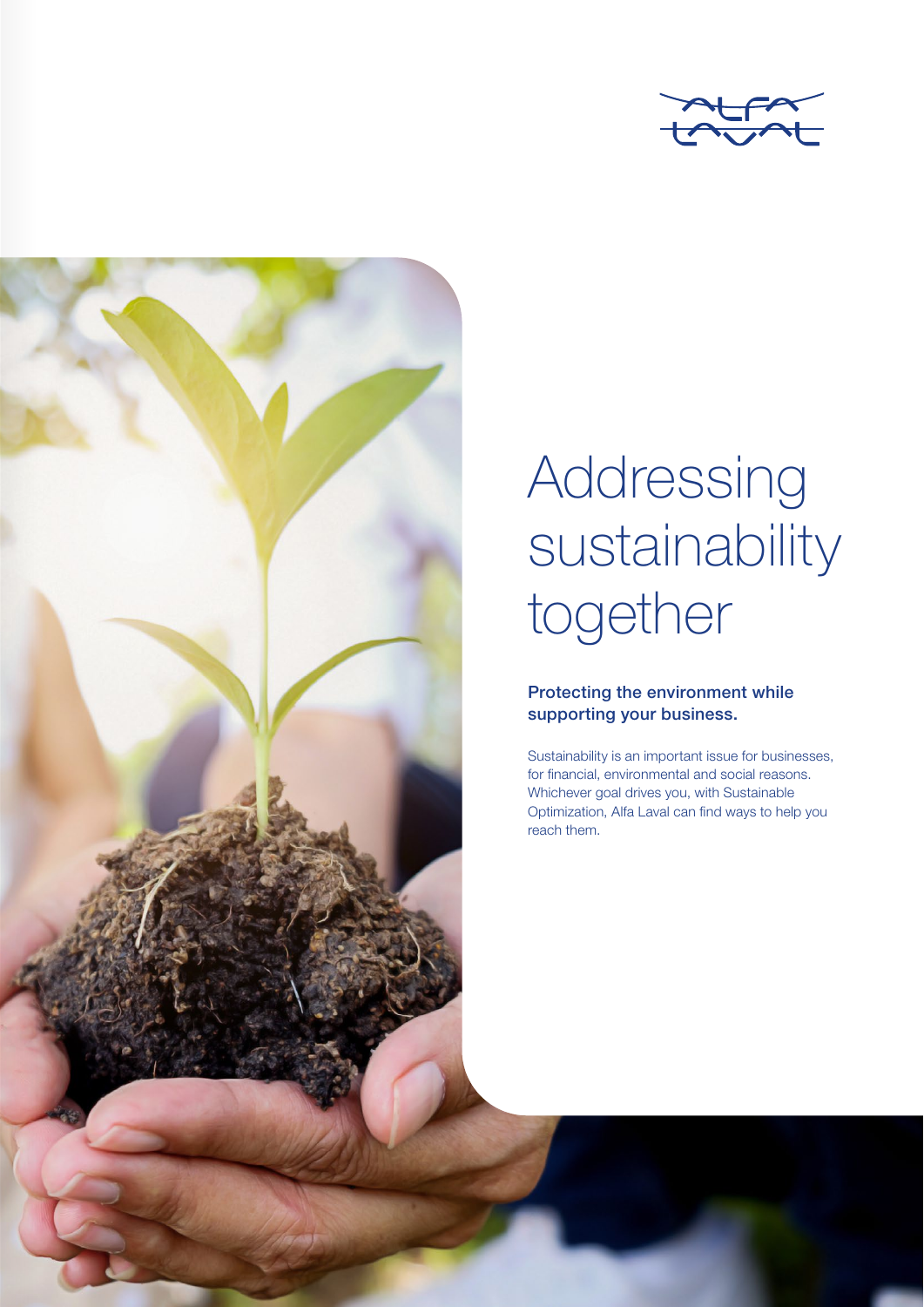



## Addressing sustainability together

## Protecting the environment while supporting your business.

Sustainability is an important issue for businesses, for financial, environmental and social reasons. Whichever goal drives you, with Sustainable Optimization, Alfa Laval can find ways to help you reach them.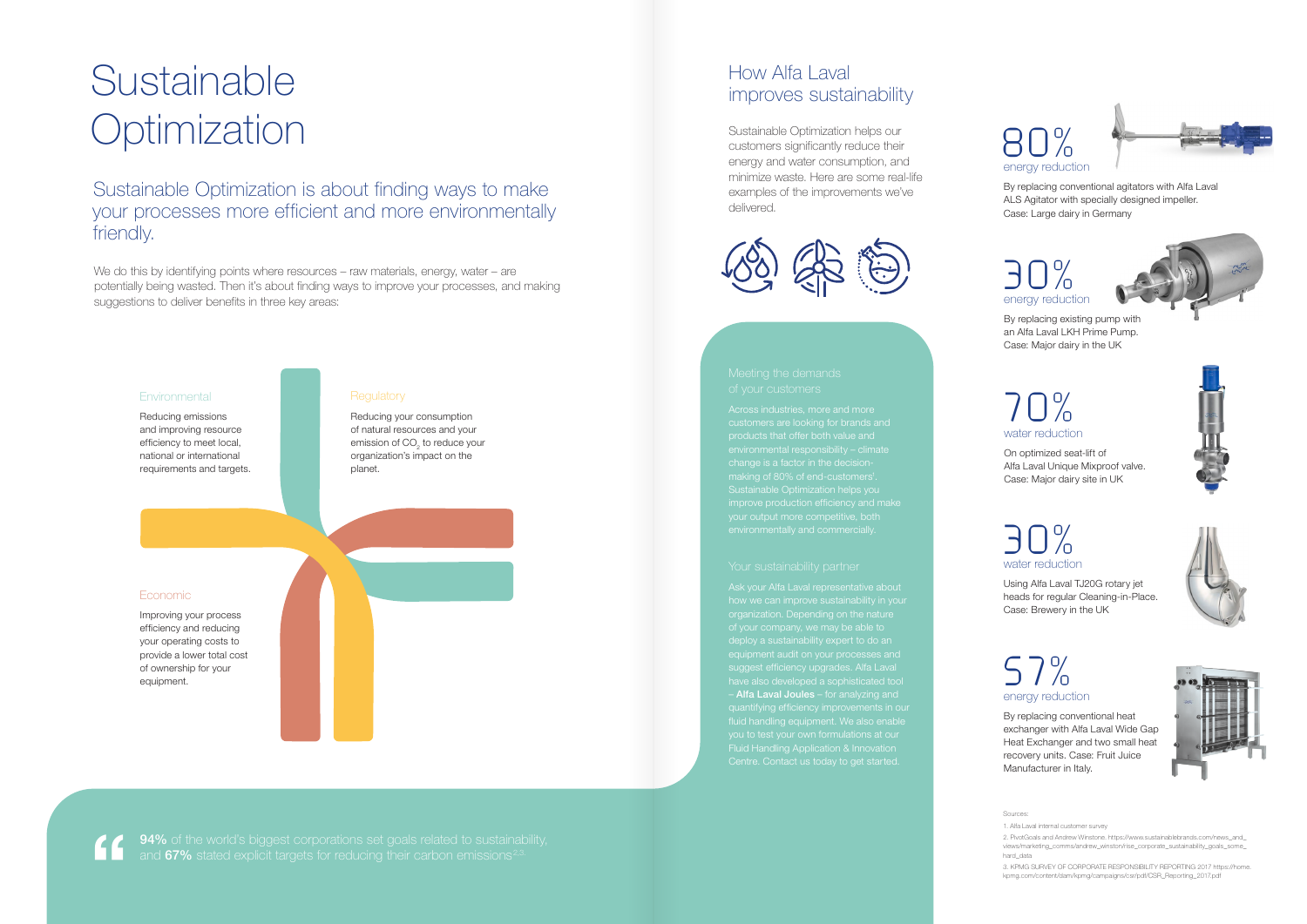# Sustainable **Optimization**

Sustainable Optimization is about finding ways to make your processes more efficient and more environmentally friendly.

We do this by identifying points where resources – raw materials, energy, water – are potentially being wasted. Then it's about finding ways to improve your processes, and making suggestions to deliver benefits in three key areas:

## **Environmental**

Across industries, more and more customers are looking for brands and products that offer both value and Sustainable Optimization helps you

## How Alfa Laval improves sustainability

Ask your Alfa Laval representative about how we can improve sustainability in your suggest efficiency upgrades. Alfa Laval have also developed a sophisticated tool – Alfa Laval Joules – for analyzing and Fluid Handling Application & Innovation

**94%** of the world's biggest corporations set goals related to sustainability, and 67% stated explicit targets for reducing their carbon emissions<sup>2,3</sup>

Sources:

1. Alfa Laval internal customer survey

2. PivotGoals and Andrew Winstone. https://www.sustainablebrands.com/news\_and\_ views/marketing\_comms/andrew\_winston/rise\_corporate\_sustainability\_goals\_some\_ hard\_data

3. KPMG SURVEY OF CORPORATE RESPONSIBILITY REPORTING 2017 https://home. kpmg.com/content/dam/kpmg/campaigns/csr/pdf/CSR\_Reporting\_2017.pdf

Reducing emissions and improving resource efficiency to meet local, national or international requirements and targets.

### **Regulatory**

### Economic

Improving your process efficiency and reducing your operating costs to provide a lower total cost of ownership for your equipment.

Reducing your consumption of natural resources and your emission of CO $_{\text{2}}$  to reduce your organization's impact on the planet.

Sustainable Optimization helps our customers significantly reduce their energy and water consumption, and minimize waste. Here are some real-life examples of the improvements we've delivered.



"

# energy reduction 30%



By replacing existing pump with an Alfa Laval LKH Prime Pump. Case: Major dairy in the UK





By replacing conventional agitators with Alfa Laval ALS Agitator with specially designed impeller. Case: Large dairy in Germany

## water reduction 70%

On optimized seat-lift of Alfa Laval Unique Mixproof valve. Case: Major dairy site in UK

# water reduction 30%

Using Alfa Laval TJ20G rotary jet heads for regular Cleaning-in-Place. Case: Brewery in the UK







By replacing conventional heat exchanger with Alfa Laval Wide Gap Heat Exchanger and two small heat recovery units. Case: Fruit Juice Manufacturer in Italy.